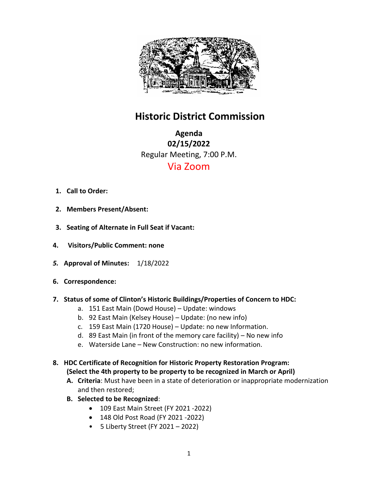

# **Historic District Commission**

**Agenda 02/15/2022** Regular Meeting, 7:00 P.M. Via Zoom

- **1. Call to Order:**
- **2. Members Present/Absent:**
- **3. Seating of Alternate in Full Seat if Vacant:**
- **4. Visitors/Public Comment: none**
- *5.* **Approval of Minutes:** 1/18/2022
- **6. Correspondence:**
- **7. Status of some of Clinton's Historic Buildings/Properties of Concern to HDC:**
	- a. 151 East Main (Dowd House) Update: windows
	- b. 92 East Main (Kelsey House) Update: (no new info)
	- c. 159 East Main (1720 House) Update: no new Information.
	- d. 89 East Main (in front of the memory care facility) No new info
	- e. Waterside Lane New Construction: no new information.
- **8. HDC Certificate of Recognition for Historic Property Restoration Program: (Select the 4th property to be property to be recognized in March or April)** 
	- **A. Criteria**: Must have been in a state of deterioration or inappropriate modernization and then restored;
	- **B. Selected to be Recognized**:
		- 109 East Main Street (FY 2021 -2022)
		- 148 Old Post Road (FY 2021 -2022)
		- 5 Liberty Street (FY 2021 2022)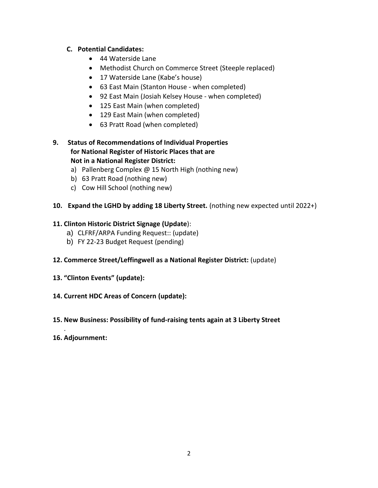### **C. Potential Candidates:**

- 44 Waterside Lane
- Methodist Church on Commerce Street (Steeple replaced)
- 17 Waterside Lane (Kabe's house)
- 63 East Main (Stanton House when completed)
- 92 East Main (Josiah Kelsey House when completed)
- 125 East Main (when completed)
- 129 East Main (when completed)
- 63 Pratt Road (when completed)

### **9. Status of Recommendations of Individual Properties for National Register of Historic Places that are Not in a National Register District:**

- a) Pallenberg Complex @ 15 North High (nothing new)
- b) 63 Pratt Road (nothing new)
- c) Cow Hill School (nothing new)

#### **10. Expand the LGHD by adding 18 Liberty Street.** (nothing new expected until 2022+)

#### **11. Clinton Historic District Signage (Update**):

- a) CLFRF/ARPA Funding Request:: (update)
- b) FY 22-23 Budget Request (pending)

#### **12. Commerce Street/Leffingwell as a National Register District:** (update)

**13. "Clinton Events" (update):** 

#### **14. Current HDC Areas of Concern (update):**

## **15. New Business: Possibility of fund-raising tents again at 3 Liberty Street**

#### **16. Adjournment:**

.